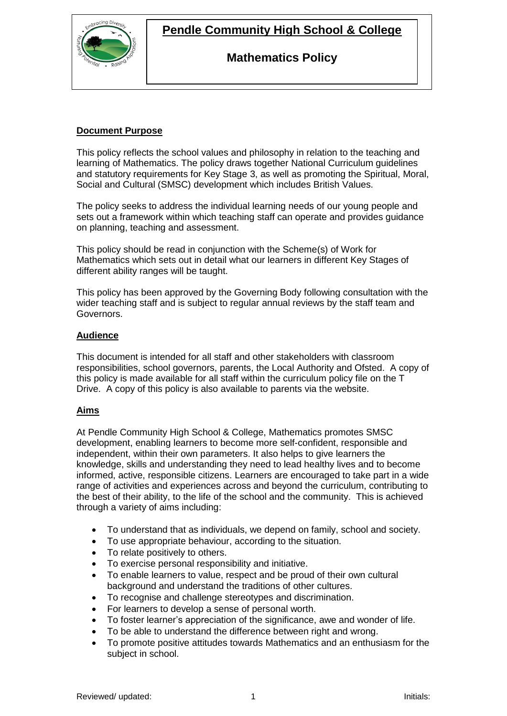

## **Pendle Community High School & College**

### **Mathematics Policy**

### **Document Purpose**

This policy reflects the school values and philosophy in relation to the teaching and learning of Mathematics. The policy draws together National Curriculum guidelines and statutory requirements for Key Stage 3, as well as promoting the Spiritual, Moral, Social and Cultural (SMSC) development which includes British Values.

The policy seeks to address the individual learning needs of our young people and sets out a framework within which teaching staff can operate and provides guidance on planning, teaching and assessment.

This policy should be read in conjunction with the Scheme(s) of Work for Mathematics which sets out in detail what our learners in different Key Stages of different ability ranges will be taught.

This policy has been approved by the Governing Body following consultation with the wider teaching staff and is subject to regular annual reviews by the staff team and Governors.

### **Audience**

This document is intended for all staff and other stakeholders with classroom responsibilities, school governors, parents, the Local Authority and Ofsted. A copy of this policy is made available for all staff within the curriculum policy file on the T Drive. A copy of this policy is also available to parents via the website.

### **Aims**

At Pendle Community High School & College, Mathematics promotes SMSC development, enabling learners to become more self-confident, responsible and independent, within their own parameters. It also helps to give learners the knowledge, skills and understanding they need to lead healthy lives and to become informed, active, responsible citizens. Learners are encouraged to take part in a wide range of activities and experiences across and beyond the curriculum, contributing to the best of their ability, to the life of the school and the community. This is achieved through a variety of aims including:

- To understand that as individuals, we depend on family, school and society.
- To use appropriate behaviour, according to the situation.
- To relate positively to others.
- To exercise personal responsibility and initiative.
- To enable learners to value, respect and be proud of their own cultural background and understand the traditions of other cultures.
- To recognise and challenge stereotypes and discrimination.
- For learners to develop a sense of personal worth.
- To foster learner's appreciation of the significance, awe and wonder of life.
- To be able to understand the difference between right and wrong.
- To promote positive attitudes towards Mathematics and an enthusiasm for the subject in school.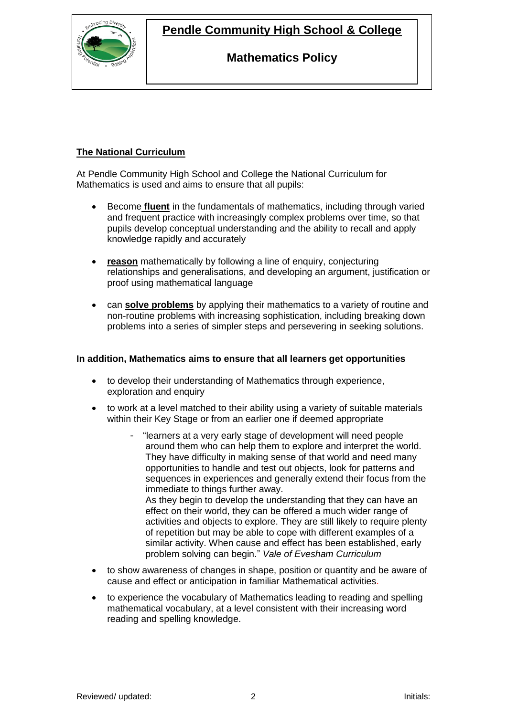**Pendle Community High School & College**



### **Mathematics Policy**

### **The National Curriculum**

At Pendle Community High School and College the National Curriculum for Mathematics is used and aims to ensure that all pupils:

- Become **fluent** in the fundamentals of mathematics, including through varied and frequent practice with increasingly complex problems over time, so that pupils develop conceptual understanding and the ability to recall and apply knowledge rapidly and accurately
- **reason** mathematically by following a line of enquiry, conjecturing relationships and generalisations, and developing an argument, justification or proof using mathematical language
- can **solve problems** by applying their mathematics to a variety of routine and non-routine problems with increasing sophistication, including breaking down problems into a series of simpler steps and persevering in seeking solutions.

### **In addition, Mathematics aims to ensure that all learners get opportunities**

- to develop their understanding of Mathematics through experience, exploration and enquiry
- to work at a level matched to their ability using a variety of suitable materials within their Key Stage or from an earlier one if deemed appropriate
	- "learners at a very early stage of development will need people around them who can help them to explore and interpret the world. They have difficulty in making sense of that world and need many opportunities to handle and test out objects, look for patterns and sequences in experiences and generally extend their focus from the immediate to things further away. As they begin to develop the understanding that they can have an effect on their world, they can be offered a much wider range of activities and objects to explore. They are still likely to require plenty

of repetition but may be able to cope with different examples of a similar activity. When cause and effect has been established, early problem solving can begin." *Vale of Evesham Curriculum*

- to show awareness of changes in shape, position or quantity and be aware of cause and effect or anticipation in familiar Mathematical activities.
- to experience the vocabulary of Mathematics leading to reading and spelling mathematical vocabulary, at a level consistent with their increasing word reading and spelling knowledge.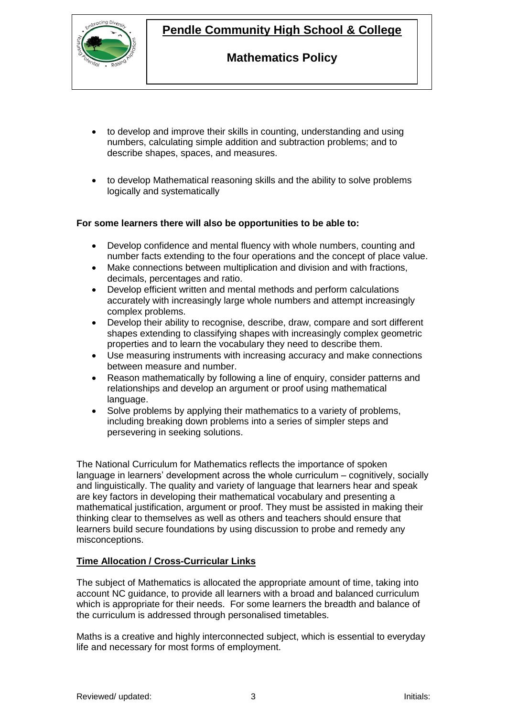

# **Pendle Community High School & College**

## **Mathematics Policy**

- to develop and improve their skills in counting, understanding and using numbers, calculating simple addition and subtraction problems; and to describe shapes, spaces, and measures.
- to develop Mathematical reasoning skills and the ability to solve problems logically and systematically

### **For some learners there will also be opportunities to be able to:**

- Develop confidence and mental fluency with whole numbers, counting and number facts extending to the four operations and the concept of place value.
- Make connections between multiplication and division and with fractions, decimals, percentages and ratio.
- Develop efficient written and mental methods and perform calculations accurately with increasingly large whole numbers and attempt increasingly complex problems.
- Develop their ability to recognise, describe, draw, compare and sort different shapes extending to classifying shapes with increasingly complex geometric properties and to learn the vocabulary they need to describe them.
- Use measuring instruments with increasing accuracy and make connections between measure and number.
- Reason mathematically by following a line of enquiry, consider patterns and relationships and develop an argument or proof using mathematical language.
- Solve problems by applying their mathematics to a variety of problems, including breaking down problems into a series of simpler steps and persevering in seeking solutions.

The National Curriculum for Mathematics reflects the importance of spoken language in learners' development across the whole curriculum – cognitively, socially and linguistically. The quality and variety of language that learners hear and speak are key factors in developing their mathematical vocabulary and presenting a mathematical justification, argument or proof. They must be assisted in making their thinking clear to themselves as well as others and teachers should ensure that learners build secure foundations by using discussion to probe and remedy any misconceptions.

### **Time Allocation / Cross-Curricular Links**

The subject of Mathematics is allocated the appropriate amount of time, taking into account NC guidance, to provide all learners with a broad and balanced curriculum which is appropriate for their needs. For some learners the breadth and balance of the curriculum is addressed through personalised timetables.

Maths is a creative and highly interconnected subject, which is essential to everyday life and necessary for most forms of employment.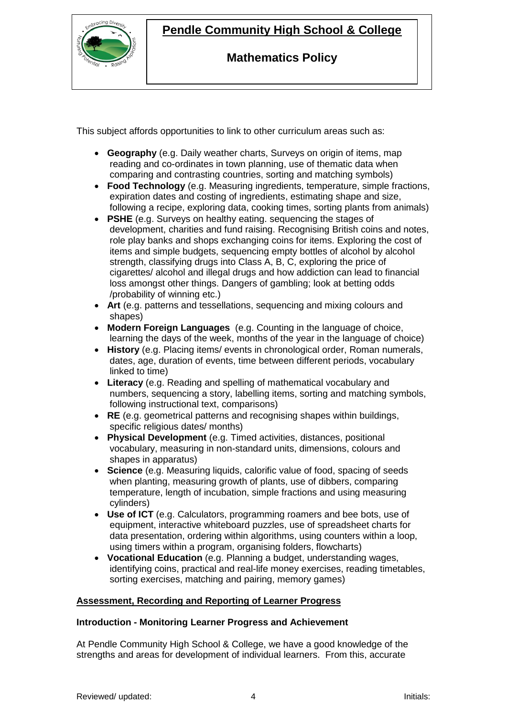

# **Pendle Community High School & College**

## **Mathematics Policy**

This subject affords opportunities to link to other curriculum areas such as:

- **Geography** (e.g. Daily weather charts, Surveys on origin of items, map reading and co-ordinates in town planning, use of thematic data when comparing and contrasting countries, sorting and matching symbols)
- **Food Technology** (e.g. Measuring ingredients, temperature, simple fractions, expiration dates and costing of ingredients, estimating shape and size, following a recipe, exploring data, cooking times, sorting plants from animals)
- **PSHE** (e.g. Surveys on healthy eating. sequencing the stages of development, charities and fund raising. Recognising British coins and notes, role play banks and shops exchanging coins for items. Exploring the cost of items and simple budgets, sequencing empty bottles of alcohol by alcohol strength, classifying drugs into Class A, B, C, exploring the price of cigarettes/ alcohol and illegal drugs and how addiction can lead to financial loss amongst other things. Dangers of gambling; look at betting odds /probability of winning etc.)
- **Art** (e.g. patterns and tessellations, sequencing and mixing colours and shapes)
- **Modern Foreign Languages** (e.g. Counting in the language of choice, learning the days of the week, months of the year in the language of choice)
- **History** (e.g. Placing items/ events in chronological order, Roman numerals, dates, age, duration of events, time between different periods, vocabulary linked to time)
- **Literacy** (e.g. Reading and spelling of mathematical vocabulary and numbers, sequencing a story, labelling items, sorting and matching symbols, following instructional text, comparisons)
- **RE** (e.g. geometrical patterns and recognising shapes within buildings, specific religious dates/ months)
- **Physical Development** (e.g. Timed activities, distances, positional vocabulary, measuring in non-standard units, dimensions, colours and shapes in apparatus)
- **Science** (e.g. Measuring liquids, calorific value of food, spacing of seeds when planting, measuring growth of plants, use of dibbers, comparing temperature, length of incubation, simple fractions and using measuring cylinders)
- **Use of ICT** (e.g. Calculators, programming roamers and bee bots, use of equipment, interactive whiteboard puzzles, use of spreadsheet charts for data presentation, ordering within algorithms, using counters within a loop, using timers within a program, organising folders, flowcharts)
- **Vocational Education** (e.g. Planning a budget, understanding wages, identifying coins, practical and real-life money exercises, reading timetables, sorting exercises, matching and pairing, memory games)

### **Assessment, Recording and Reporting of Learner Progress**

### **Introduction - Monitoring Learner Progress and Achievement**

At Pendle Community High School & College, we have a good knowledge of the strengths and areas for development of individual learners. From this, accurate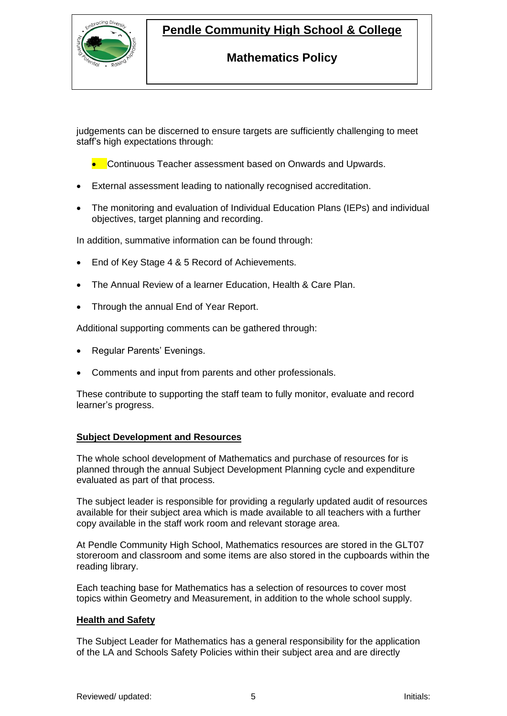

# **Pendle Community High School & College**

## **Mathematics Policy**

judgements can be discerned to ensure targets are sufficiently challenging to meet staff's high expectations through:

• Continuous Teacher assessment based on Onwards and Upwards.

- External assessment leading to nationally recognised accreditation.
- The monitoring and evaluation of Individual Education Plans (IEPs) and individual objectives, target planning and recording.

In addition, summative information can be found through:

- End of Key Stage 4 & 5 Record of Achievements.
- The Annual Review of a learner Education, Health & Care Plan.
- Through the annual End of Year Report.

Additional supporting comments can be gathered through:

- Regular Parents' Evenings.
- Comments and input from parents and other professionals.

These contribute to supporting the staff team to fully monitor, evaluate and record learner's progress.

#### **Subject Development and Resources**

The whole school development of Mathematics and purchase of resources for is planned through the annual Subject Development Planning cycle and expenditure evaluated as part of that process.

The subject leader is responsible for providing a regularly updated audit of resources available for their subject area which is made available to all teachers with a further copy available in the staff work room and relevant storage area.

At Pendle Community High School, Mathematics resources are stored in the GLT07 storeroom and classroom and some items are also stored in the cupboards within the reading library.

Each teaching base for Mathematics has a selection of resources to cover most topics within Geometry and Measurement, in addition to the whole school supply.

### **Health and Safety**

The Subject Leader for Mathematics has a general responsibility for the application of the LA and Schools Safety Policies within their subject area and are directly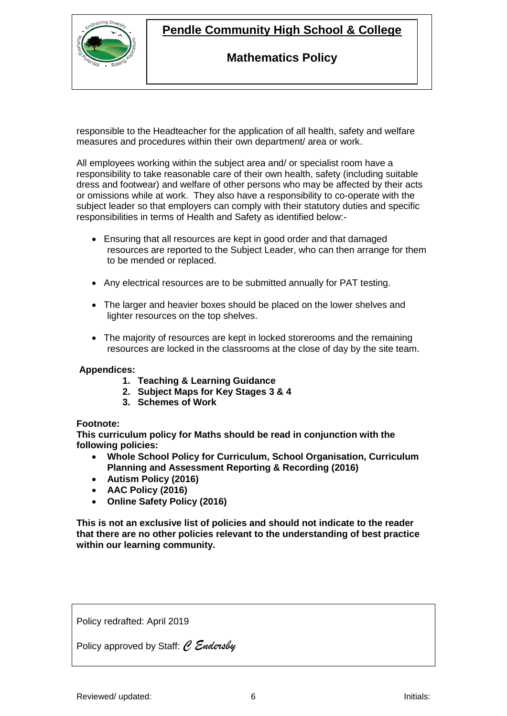

## **Pendle Community High School & College**

## **Mathematics Policy**

responsible to the Headteacher for the application of all health, safety and welfare measures and procedures within their own department/ area or work.

All employees working within the subject area and/ or specialist room have a responsibility to take reasonable care of their own health, safety (including suitable dress and footwear) and welfare of other persons who may be affected by their acts or omissions while at work. They also have a responsibility to co-operate with the subject leader so that employers can comply with their statutory duties and specific responsibilities in terms of Health and Safety as identified below:-

- Ensuring that all resources are kept in good order and that damaged resources are reported to the Subject Leader, who can then arrange for them to be mended or replaced.
- Any electrical resources are to be submitted annually for PAT testing.
- The larger and heavier boxes should be placed on the lower shelves and lighter resources on the top shelves.
- The majority of resources are kept in locked storerooms and the remaining resources are locked in the classrooms at the close of day by the site team.

### **Appendices:**

- **1. Teaching & Learning Guidance**
- **2. Subject Maps for Key Stages 3 & 4**
- **3. Schemes of Work**

### **Footnote:**

**This curriculum policy for Maths should be read in conjunction with the following policies:**

- **Whole School Policy for Curriculum, School Organisation, Curriculum Planning and Assessment Reporting & Recording (2016)**
- **Autism Policy (2016)**
- **AAC Policy (2016)**
- **Online Safety Policy (2016)**

**This is not an exclusive list of policies and should not indicate to the reader that there are no other policies relevant to the understanding of best practice within our learning community.**

Policy redrafted: April 2019

Policy approved by Staff: *C Endersby*